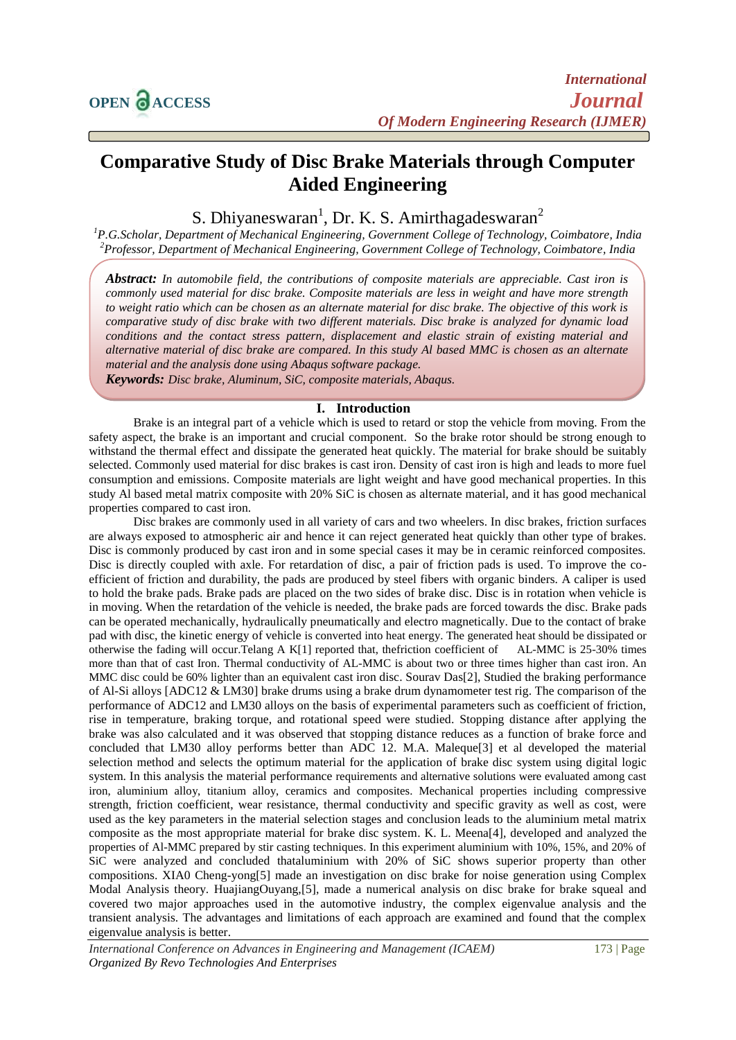# **Comparative Study of Disc Brake Materials through Computer Aided Engineering**

S. Dhiyaneswaran<sup>1</sup>, Dr. K. S. Amirthagadeswaran<sup>2</sup>

*<sup>1</sup>P.G.Scholar, Department of Mechanical Engineering, Government College of Technology, Coimbatore, India <sup>2</sup>Professor, Department of Mechanical Engineering, Government College of Technology, Coimbatore, India*

*Abstract: In automobile field, the contributions of composite materials are appreciable. Cast iron is commonly used material for disc brake. Composite materials are less in weight and have more strength to weight ratio which can be chosen as an alternate material for disc brake. The objective of this work is comparative study of disc brake with two different materials. Disc brake is analyzed for dynamic load conditions and the contact stress pattern, displacement and elastic strain of existing material and alternative material of disc brake are compared. In this study Al based MMC is chosen as an alternate material and the analysis done using Abaqus software package.*

*Keywords: Disc brake, Aluminum, SiC, composite materials, Abaqus.*

#### **I. Introduction**

Brake is an integral part of a vehicle which is used to retard or stop the vehicle from moving. From the safety aspect, the brake is an important and crucial component. So the brake rotor should be strong enough to withstand the thermal effect and dissipate the generated heat quickly. The material for brake should be suitably selected. Commonly used material for disc brakes is cast iron. Density of cast iron is high and leads to more fuel consumption and emissions. Composite materials are light weight and have good mechanical properties. In this study Al based metal matrix composite with 20% SiC is chosen as alternate material, and it has good mechanical properties compared to cast iron.

Disc brakes are commonly used in all variety of cars and two wheelers. In disc brakes, friction surfaces are always exposed to atmospheric air and hence it can reject generated heat quickly than other type of brakes. Disc is commonly produced by cast iron and in some special cases it may be in ceramic reinforced composites. Disc is directly coupled with axle. For retardation of disc, a pair of friction pads is used. To improve the coefficient of friction and durability, the pads are produced by steel fibers with organic binders. A caliper is used to hold the brake pads. Brake pads are placed on the two sides of brake disc. Disc is in rotation when vehicle is in moving. When the retardation of the vehicle is needed, the brake pads are forced towards the disc. Brake pads can be operated mechanically, hydraulically pneumatically and electro magnetically. Due to the contact of brake pad with disc, the kinetic energy of vehicle is converted into heat energy. The generated heat should be dissipated or otherwise the fading will occur.Telang A K[1] reported that, thefriction coefficient of AL-MMC is 25-30% times more than that of cast Iron. Thermal conductivity of AL-MMC is about two or three times higher than cast iron. An MMC disc could be 60% lighter than an equivalent cast iron disc. Sourav Das[2], Studied the braking performance of Al-Si alloys [ADC12 & LM30] brake drums using a brake drum dynamometer test rig. The comparison of the performance of ADC12 and LM30 alloys on the basis of experimental parameters such as coefficient of friction, rise in temperature, braking torque, and rotational speed were studied. Stopping distance after applying the brake was also calculated and it was observed that stopping distance reduces as a function of brake force and concluded that LM30 alloy performs better than ADC 12. M.A. Maleque[3] et al developed the material selection method and selects the optimum material for the application of brake disc system using digital logic system. In this analysis the material performance requirements and alternative solutions were evaluated among cast iron, aluminium alloy, titanium alloy, ceramics and composites. Mechanical properties including compressive strength, friction coefficient, wear resistance, thermal conductivity and specific gravity as well as cost, were used as the key parameters in the material selection stages and conclusion leads to the aluminium metal matrix composite as the most appropriate material for brake disc system. K. L. Meena[4], developed and analyzed the properties of Al-MMC prepared by stir casting techniques. In this experiment aluminium with 10%, 15%, and 20% of SiC were analyzed and concluded thataluminium with 20% of SiC shows superior property than other compositions. XIA0 Cheng-yong[5] made an investigation on disc brake for noise generation using Complex Modal Analysis theory. HuajiangOuyang,[5], made a numerical analysis on disc brake for brake squeal and covered two major approaches used in the automotive industry, the complex eigenvalue analysis and the transient analysis. The advantages and limitations of each approach are examined and found that the complex eigenvalue analysis is better.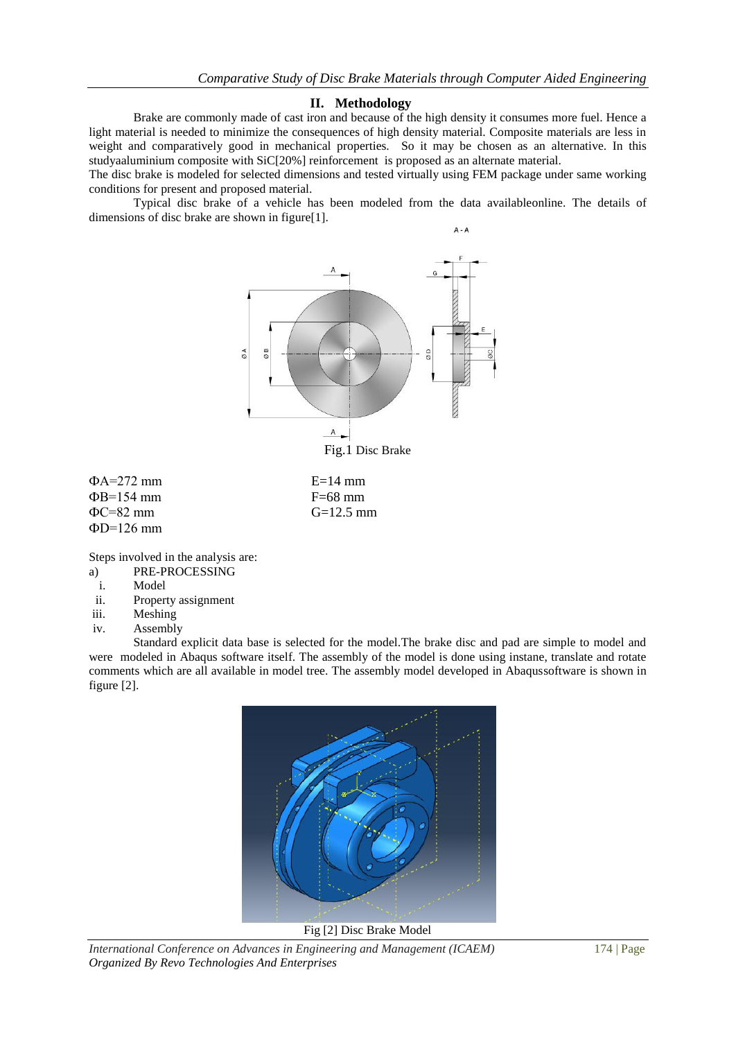#### **II. Methodology**

Brake are commonly made of cast iron and because of the high density it consumes more fuel. Hence a light material is needed to minimize the consequences of high density material. Composite materials are less in weight and comparatively good in mechanical properties. So it may be chosen as an alternative. In this studyaaluminium composite with SiC[20%] reinforcement is proposed as an alternate material.

The disc brake is modeled for selected dimensions and tested virtually using FEM package under same working conditions for present and proposed material.

Typical disc brake of a vehicle has been modeled from the data availableonline. The details of dimensions of disc brake are shown in figure[1].



 $\Phi$ B=154 mm<br> $\Phi$ C=82 mm<br> $\Phi$ C=82 mm<br> $G=12.5$  mm  $\Phi$ C=82 mm  $\Phi$ D=126 mm

Steps involved in the analysis are:

- a) PRE-PROCESSING
- i. Model
- ii. Property assignment
- iii. Meshing
- iv. Assembly

Standard explicit data base is selected for the model.The brake disc and pad are simple to model and were modeled in Abaqus software itself. The assembly of the model is done using instane, translate and rotate comments which are all available in model tree. The assembly model developed in Abaqussoftware is shown in figure [2].



Fig [2] Disc Brake Model

*International Conference on Advances in Engineering and Management (ICAEM)* 174 | Page *Organized By Revo Technologies And Enterprises*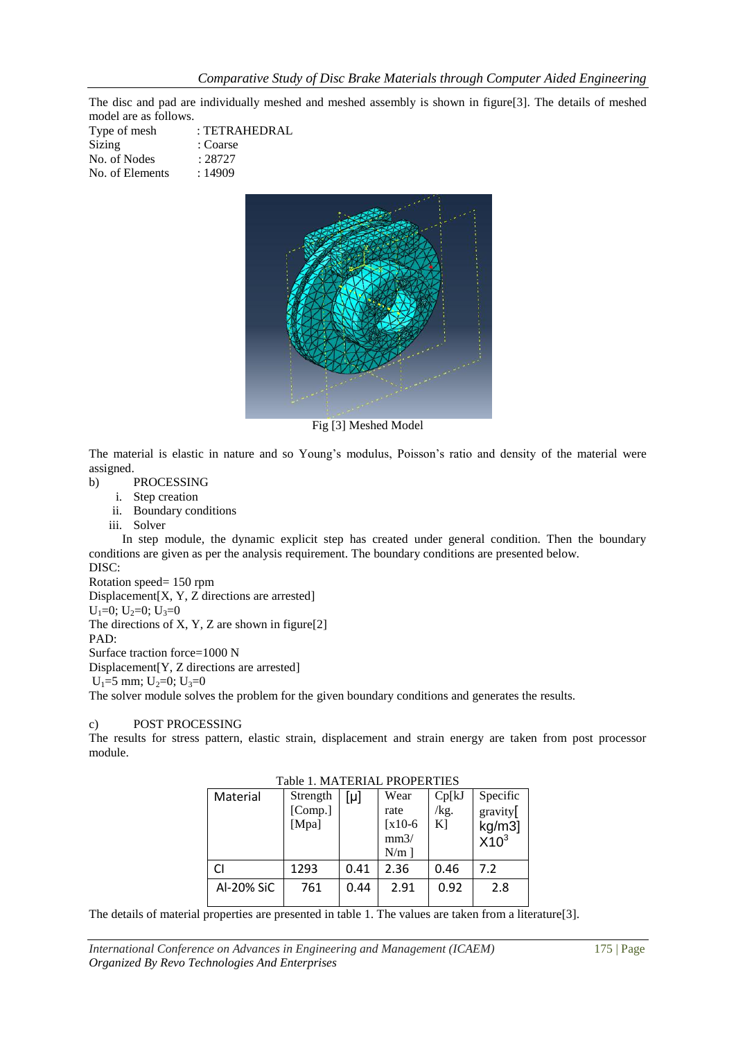The disc and pad are individually meshed and meshed assembly is shown in figure[3]. The details of meshed model are as follows.

| : TETRAHEDRAL |
|---------------|
| : Coarse      |
| : 28727       |
| :14909        |
|               |



Fig [3] Meshed Model

The material is elastic in nature and so Young's modulus, Poisson's ratio and density of the material were assigned.

- b) PROCESSING
	- i. Step creation
	- ii. Boundary conditions
	- iii. Solver

In step module, the dynamic explicit step has created under general condition. Then the boundary conditions are given as per the analysis requirement. The boundary conditions are presented below. DISC:

```
Rotation speed= 150 rpm
```
Displacement[X, Y, Z directions are arrested]

 $U_1=0$ ;  $U_2=0$ ;  $U_3=0$ 

The directions of X, Y, Z are shown in figure[2]

PAD:

Surface traction force=1000 N Displacement[Y, Z directions are arrested]  $U_1=5$  mm;  $U_2=0$ ;  $U_3=0$ The solver module solves the problem for the given boundary conditions and generates the results.

## c) POST PROCESSING

The results for stress pattern, elastic strain, displacement and strain energy are taken from post processor module.

| Table 1. MATERIAL PROPERTIES |            |                              |      |                                                         |                        |                                           |  |  |  |
|------------------------------|------------|------------------------------|------|---------------------------------------------------------|------------------------|-------------------------------------------|--|--|--|
|                              | Material   | Strength<br>[Comp.]<br>[Mpa] | [μ]  | Wear<br>rate<br>$\left[x10-6\right]$<br>mm3/<br>$N/m$ ] | Cp[k]<br>/kg.<br>$K$ ] | Specific<br>gravity[<br>kg/m3]<br>$X10^3$ |  |  |  |
|                              |            | 1293                         | 0.41 | 2.36                                                    | 0.46                   | 7.2                                       |  |  |  |
|                              | Al-20% SiC | 761                          | 0.44 | 2.91                                                    | 0.92                   | 2.8                                       |  |  |  |

Table 1. MATERIAL PROPERTIES

The details of material properties are presented in table 1. The values are taken from a literature[3].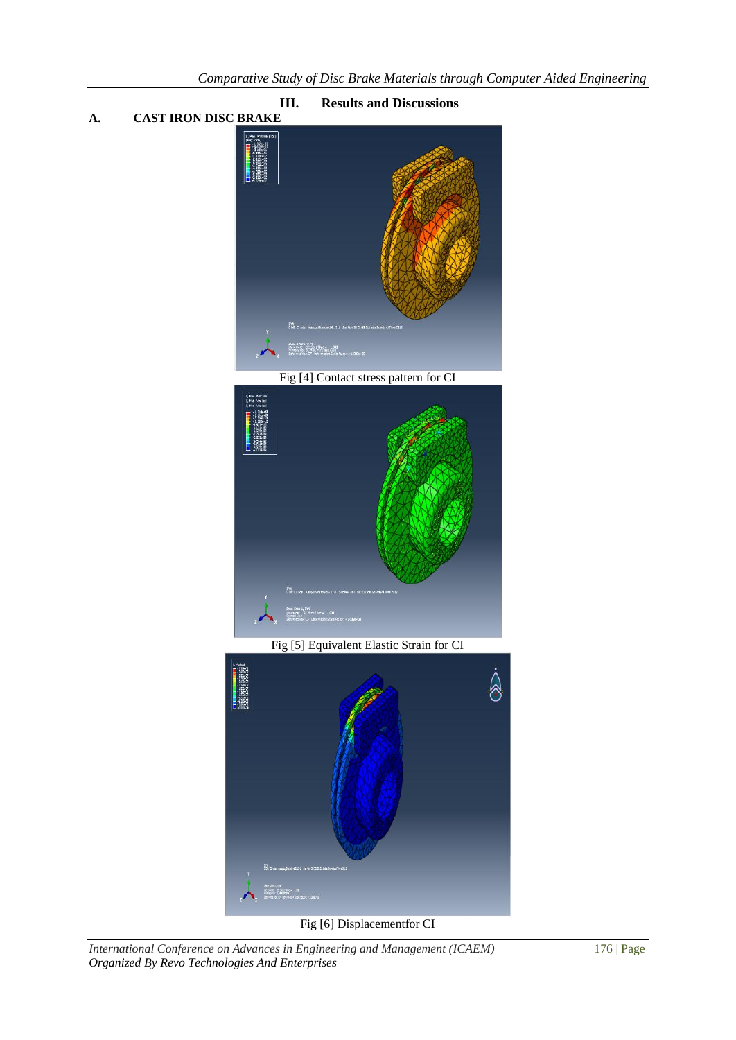

*International Conference on Advances in Engineering and Management (ICAEM)* 176 | Page

*Organized By Revo Technologies And Enterprises*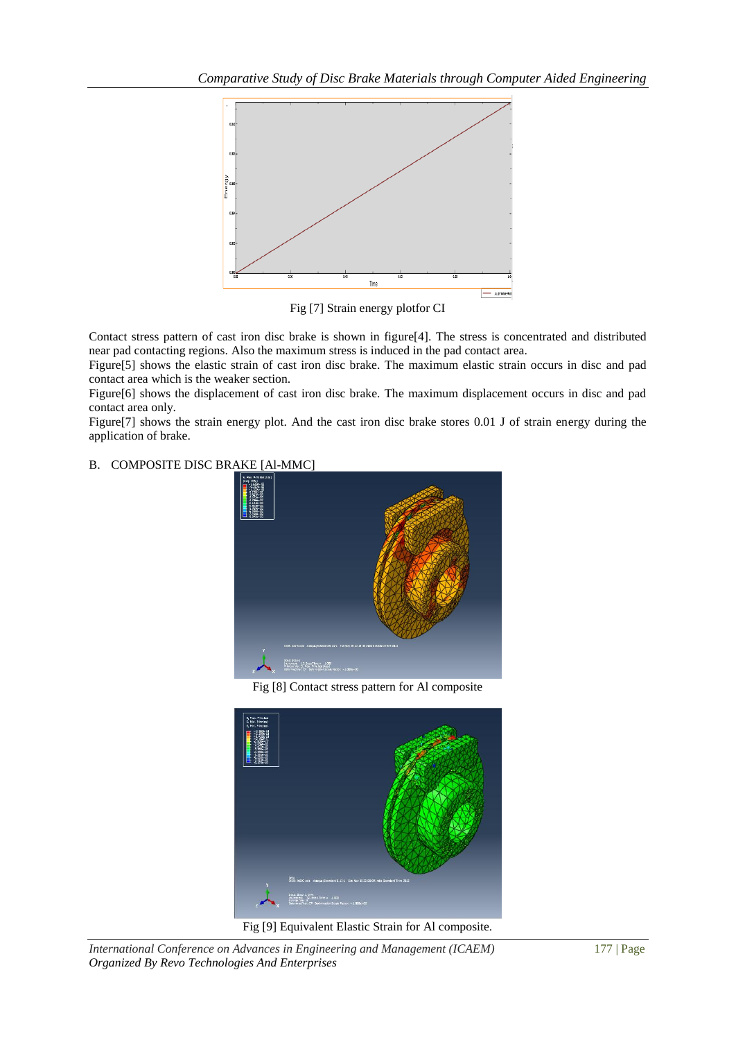

Fig [7] Strain energy plotfor CI

Contact stress pattern of cast iron disc brake is shown in figure[4]. The stress is concentrated and distributed near pad contacting regions. Also the maximum stress is induced in the pad contact area.

Figure[5] shows the elastic strain of cast iron disc brake. The maximum elastic strain occurs in disc and pad contact area which is the weaker section.

Figure[6] shows the displacement of cast iron disc brake. The maximum displacement occurs in disc and pad contact area only.

Figure[7] shows the strain energy plot. And the cast iron disc brake stores 0.01 J of strain energy during the application of brake.

## B. COMPOSITE DISC BRAKE [Al-MMC]



Fig [8] Contact stress pattern for Al composite



Fig [9] Equivalent Elastic Strain for Al composite.

*International Conference on Advances in Engineering and Management (ICAEM)* 177 | Page *Organized By Revo Technologies And Enterprises*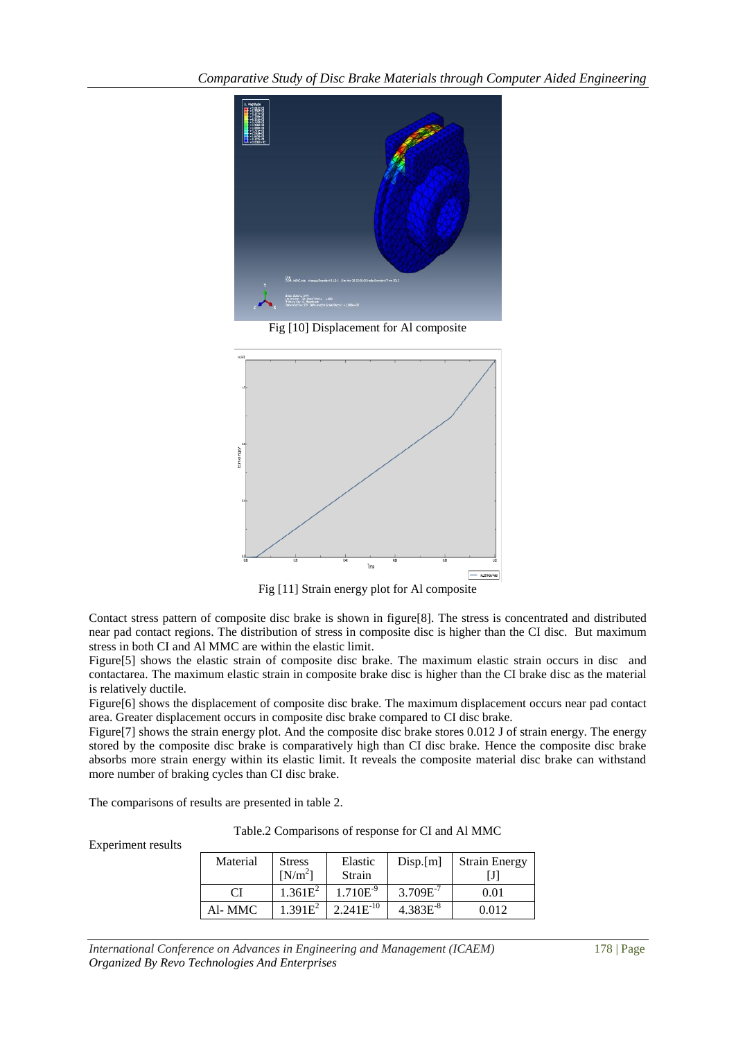

Fig [10] Displacement for Al composite



Fig [11] Strain energy plot for Al composite

Contact stress pattern of composite disc brake is shown in figure[8]. The stress is concentrated and distributed near pad contact regions. The distribution of stress in composite disc is higher than the CI disc. But maximum stress in both CI and Al MMC are within the elastic limit.

Figure[5] shows the elastic strain of composite disc brake. The maximum elastic strain occurs in disc and contactarea. The maximum elastic strain in composite brake disc is higher than the CI brake disc as the material is relatively ductile.

Figure[6] shows the displacement of composite disc brake. The maximum displacement occurs near pad contact area. Greater displacement occurs in composite disc brake compared to CI disc brake.

Figure<sup>[7]</sup> shows the strain energy plot. And the composite disc brake stores 0.012 J of strain energy. The energy stored by the composite disc brake is comparatively high than CI disc brake. Hence the composite disc brake absorbs more strain energy within its elastic limit. It reveals the composite material disc brake can withstand more number of braking cycles than CI disc brake.

The comparisons of results are presented in table 2.

Experiment results

Table.2 Comparisons of response for CI and Al MMC

| Material | <b>Stress</b><br>$[N/m^2]$ | Elastic<br>Strain | Disp.[m]      | <b>Strain Energy</b> |
|----------|----------------------------|-------------------|---------------|----------------------|
| CI       | $1.361E^2$                 | $1.710E^{-9}$     | $3.709E^{-7}$ | 0.01                 |
| Al- MMC  | $1.391E^2$                 | $2.241E^{-10}$    | $4.383E^{-8}$ | 0.012                |